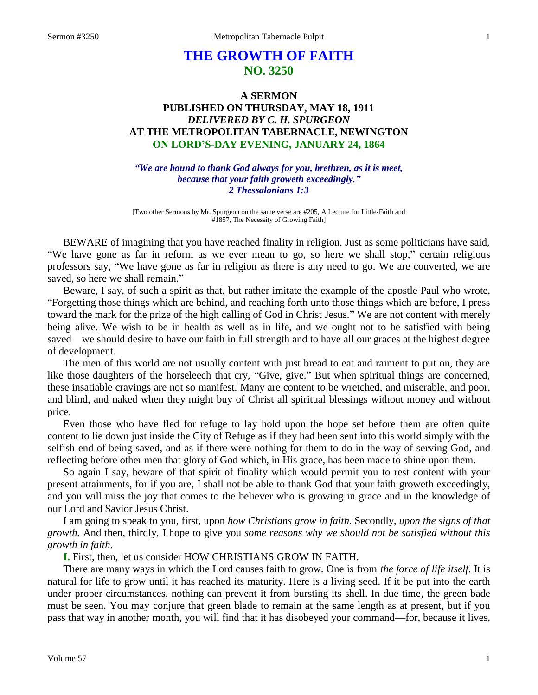# **THE GROWTH OF FAITH NO. 3250**

# **A SERMON PUBLISHED ON THURSDAY, MAY 18, 1911** *DELIVERED BY C. H. SPURGEON* **AT THE METROPOLITAN TABERNACLE, NEWINGTON ON LORD'S-DAY EVENING, JANUARY 24, 1864**

*"We are bound to thank God always for you, brethren, as it is meet, because that your faith groweth exceedingly." 2 Thessalonians 1:3*

[Two other Sermons by Mr. Spurgeon on the same verse are #205, A Lecture for Little-Faith and #1857, The Necessity of Growing Faith]

BEWARE of imagining that you have reached finality in religion. Just as some politicians have said, "We have gone as far in reform as we ever mean to go, so here we shall stop," certain religious professors say, "We have gone as far in religion as there is any need to go. We are converted, we are saved, so here we shall remain."

Beware, I say, of such a spirit as that, but rather imitate the example of the apostle Paul who wrote, "Forgetting those things which are behind, and reaching forth unto those things which are before, I press toward the mark for the prize of the high calling of God in Christ Jesus." We are not content with merely being alive. We wish to be in health as well as in life, and we ought not to be satisfied with being saved—we should desire to have our faith in full strength and to have all our graces at the highest degree of development.

The men of this world are not usually content with just bread to eat and raiment to put on, they are like those daughters of the horseleech that cry, "Give, give." But when spiritual things are concerned, these insatiable cravings are not so manifest. Many are content to be wretched, and miserable, and poor, and blind, and naked when they might buy of Christ all spiritual blessings without money and without price.

Even those who have fled for refuge to lay hold upon the hope set before them are often quite content to lie down just inside the City of Refuge as if they had been sent into this world simply with the selfish end of being saved, and as if there were nothing for them to do in the way of serving God, and reflecting before other men that glory of God which, in His grace, has been made to shine upon them.

So again I say, beware of that spirit of finality which would permit you to rest content with your present attainments, for if you are, I shall not be able to thank God that your faith groweth exceedingly, and you will miss the joy that comes to the believer who is growing in grace and in the knowledge of our Lord and Savior Jesus Christ.

I am going to speak to you, first, upon *how Christians grow in faith.* Secondly, *upon the signs of that growth.* And then, thirdly, I hope to give you *some reasons why we should not be satisfied without this growth in faith*.

**I.** First, then, let us consider HOW CHRISTIANS GROW IN FAITH.

There are many ways in which the Lord causes faith to grow. One is from *the force of life itself.* It is natural for life to grow until it has reached its maturity. Here is a living seed. If it be put into the earth under proper circumstances, nothing can prevent it from bursting its shell. In due time, the green bade must be seen. You may conjure that green blade to remain at the same length as at present, but if you pass that way in another month, you will find that it has disobeyed your command—for, because it lives,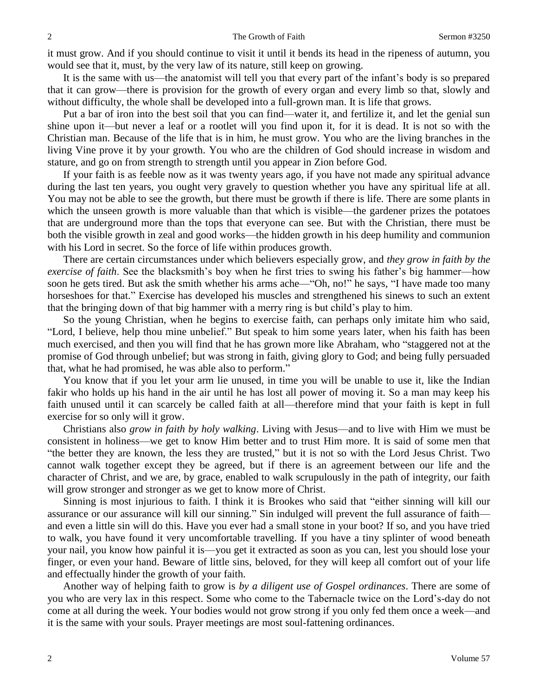it must grow. And if you should continue to visit it until it bends its head in the ripeness of autumn, you would see that it, must, by the very law of its nature, still keep on growing.

It is the same with us—the anatomist will tell you that every part of the infant's body is so prepared that it can grow—there is provision for the growth of every organ and every limb so that, slowly and without difficulty, the whole shall be developed into a full-grown man. It is life that grows.

Put a bar of iron into the best soil that you can find—water it, and fertilize it, and let the genial sun shine upon it—but never a leaf or a rootlet will you find upon it, for it is dead. It is not so with the Christian man. Because of the life that is in him, he must grow. You who are the living branches in the living Vine prove it by your growth. You who are the children of God should increase in wisdom and stature, and go on from strength to strength until you appear in Zion before God.

If your faith is as feeble now as it was twenty years ago, if you have not made any spiritual advance during the last ten years, you ought very gravely to question whether you have any spiritual life at all. You may not be able to see the growth, but there must be growth if there is life. There are some plants in which the unseen growth is more valuable than that which is visible—the gardener prizes the potatoes that are underground more than the tops that everyone can see. But with the Christian, there must be both the visible growth in zeal and good works—the hidden growth in his deep humility and communion with his Lord in secret. So the force of life within produces growth.

There are certain circumstances under which believers especially grow, and *they grow in faith by the exercise of faith*. See the blacksmith's boy when he first tries to swing his father's big hammer—how soon he gets tired. But ask the smith whether his arms ache—"Oh, no!" he says, "I have made too many horseshoes for that." Exercise has developed his muscles and strengthened his sinews to such an extent that the bringing down of that big hammer with a merry ring is but child's play to him.

So the young Christian, when he begins to exercise faith, can perhaps only imitate him who said, "Lord, I believe, help thou mine unbelief." But speak to him some years later, when his faith has been much exercised, and then you will find that he has grown more like Abraham, who "staggered not at the promise of God through unbelief; but was strong in faith, giving glory to God; and being fully persuaded that, what he had promised, he was able also to perform."

You know that if you let your arm lie unused, in time you will be unable to use it, like the Indian fakir who holds up his hand in the air until he has lost all power of moving it. So a man may keep his faith unused until it can scarcely be called faith at all—therefore mind that your faith is kept in full exercise for so only will it grow.

Christians also *grow in faith by holy walking*. Living with Jesus—and to live with Him we must be consistent in holiness—we get to know Him better and to trust Him more. It is said of some men that "the better they are known, the less they are trusted," but it is not so with the Lord Jesus Christ. Two cannot walk together except they be agreed, but if there is an agreement between our life and the character of Christ, and we are, by grace, enabled to walk scrupulously in the path of integrity, our faith will grow stronger and stronger as we get to know more of Christ.

Sinning is most injurious to faith. I think it is Brookes who said that "either sinning will kill our assurance or our assurance will kill our sinning." Sin indulged will prevent the full assurance of faith and even a little sin will do this. Have you ever had a small stone in your boot? If so, and you have tried to walk, you have found it very uncomfortable travelling. If you have a tiny splinter of wood beneath your nail, you know how painful it is—you get it extracted as soon as you can, lest you should lose your finger, or even your hand. Beware of little sins, beloved, for they will keep all comfort out of your life and effectually hinder the growth of your faith.

Another way of helping faith to grow is *by a diligent use of Gospel ordinances*. There are some of you who are very lax in this respect. Some who come to the Tabernacle twice on the Lord's-day do not come at all during the week. Your bodies would not grow strong if you only fed them once a week—and it is the same with your souls. Prayer meetings are most soul-fattening ordinances.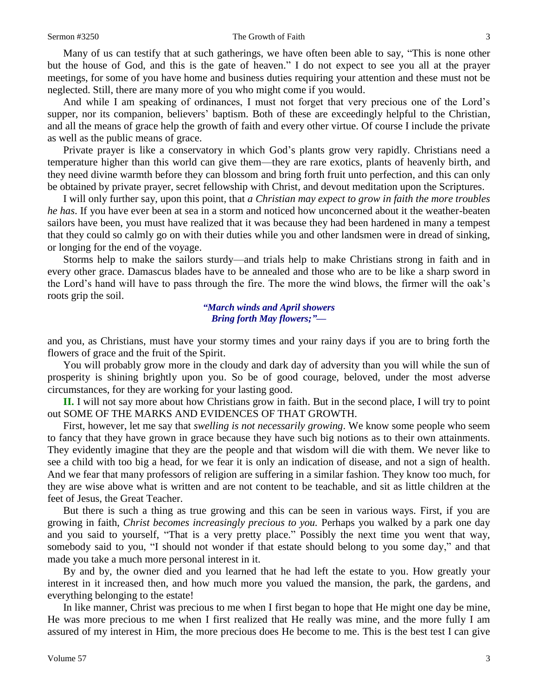#### Sermon #3250 The Growth of Faith 3

Many of us can testify that at such gatherings, we have often been able to say, "This is none other but the house of God, and this is the gate of heaven." I do not expect to see you all at the prayer meetings, for some of you have home and business duties requiring your attention and these must not be neglected. Still, there are many more of you who might come if you would.

And while I am speaking of ordinances, I must not forget that very precious one of the Lord's supper, nor its companion, believers' baptism. Both of these are exceedingly helpful to the Christian, and all the means of grace help the growth of faith and every other virtue. Of course I include the private as well as the public means of grace.

Private prayer is like a conservatory in which God's plants grow very rapidly. Christians need a temperature higher than this world can give them—they are rare exotics, plants of heavenly birth, and they need divine warmth before they can blossom and bring forth fruit unto perfection, and this can only be obtained by private prayer, secret fellowship with Christ, and devout meditation upon the Scriptures.

I will only further say, upon this point, that *a Christian may expect to grow in faith the more troubles he has*. If you have ever been at sea in a storm and noticed how unconcerned about it the weather-beaten sailors have been, you must have realized that it was because they had been hardened in many a tempest that they could so calmly go on with their duties while you and other landsmen were in dread of sinking, or longing for the end of the voyage.

Storms help to make the sailors sturdy—and trials help to make Christians strong in faith and in every other grace. Damascus blades have to be annealed and those who are to be like a sharp sword in the Lord's hand will have to pass through the fire. The more the wind blows, the firmer will the oak's roots grip the soil.

> *"March winds and April showers Bring forth May flowers;"—*

and you, as Christians, must have your stormy times and your rainy days if you are to bring forth the flowers of grace and the fruit of the Spirit.

You will probably grow more in the cloudy and dark day of adversity than you will while the sun of prosperity is shining brightly upon you. So be of good courage, beloved, under the most adverse circumstances, for they are working for your lasting good.

**II.** I will not say more about how Christians grow in faith. But in the second place, I will try to point out SOME OF THE MARKS AND EVIDENCES OF THAT GROWTH.

First, however, let me say that *swelling is not necessarily growing*. We know some people who seem to fancy that they have grown in grace because they have such big notions as to their own attainments. They evidently imagine that they are the people and that wisdom will die with them. We never like to see a child with too big a head, for we fear it is only an indication of disease, and not a sign of health. And we fear that many professors of religion are suffering in a similar fashion. They know too much, for they are wise above what is written and are not content to be teachable, and sit as little children at the feet of Jesus, the Great Teacher.

But there is such a thing as true growing and this can be seen in various ways. First, if you are growing in faith, *Christ becomes increasingly precious to you.* Perhaps you walked by a park one day and you said to yourself, "That is a very pretty place." Possibly the next time you went that way, somebody said to you, "I should not wonder if that estate should belong to you some day," and that made you take a much more personal interest in it.

By and by, the owner died and you learned that he had left the estate to you. How greatly your interest in it increased then, and how much more you valued the mansion, the park, the gardens, and everything belonging to the estate!

In like manner, Christ was precious to me when I first began to hope that He might one day be mine, He was more precious to me when I first realized that He really was mine, and the more fully I am assured of my interest in Him, the more precious does He become to me. This is the best test I can give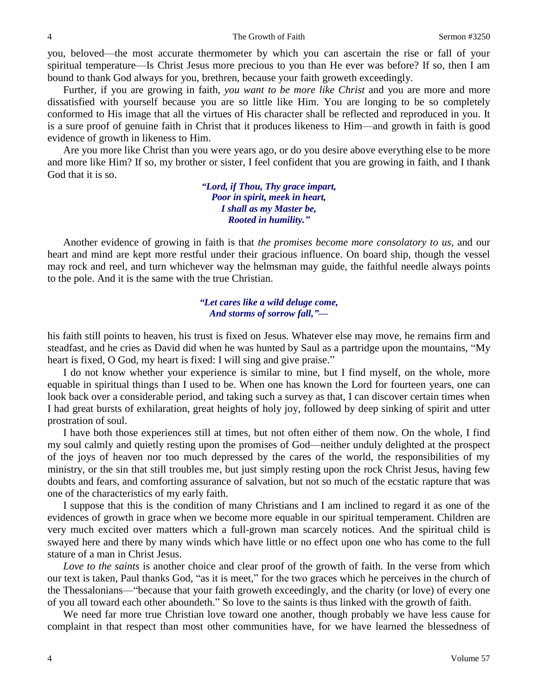you, beloved—the most accurate thermometer by which you can ascertain the rise or fall of your spiritual temperature—Is Christ Jesus more precious to you than He ever was before? If so, then I am bound to thank God always for you, brethren, because your faith groweth exceedingly.

Further, if you are growing in faith, *you want to be more like Christ* and you are more and more dissatisfied with yourself because you are so little like Him. You are longing to be so completely conformed to His image that all the virtues of His character shall be reflected and reproduced in you. It is a sure proof of genuine faith in Christ that it produces likeness to Him—and growth in faith is good evidence of growth in likeness to Him.

Are you more like Christ than you were years ago, or do you desire above everything else to be more and more like Him? If so, my brother or sister, I feel confident that you are growing in faith, and I thank God that it is so.

> *"Lord, if Thou, Thy grace impart, Poor in spirit, meek in heart, I shall as my Master be, Rooted in humility."*

Another evidence of growing in faith is that *the promises become more consolatory to us*, and our heart and mind are kept more restful under their gracious influence. On board ship, though the vessel may rock and reel, and turn whichever way the helmsman may guide, the faithful needle always points to the pole. And it is the same with the true Christian.

### *"Let cares like a wild deluge come, And storms of sorrow fall,"—*

his faith still points to heaven, his trust is fixed on Jesus. Whatever else may move, he remains firm and steadfast, and he cries as David did when he was hunted by Saul as a partridge upon the mountains, "My heart is fixed, O God, my heart is fixed: I will sing and give praise."

I do not know whether your experience is similar to mine, but I find myself, on the whole, more equable in spiritual things than I used to be. When one has known the Lord for fourteen years, one can look back over a considerable period, and taking such a survey as that, I can discover certain times when I had great bursts of exhilaration, great heights of holy joy, followed by deep sinking of spirit and utter prostration of soul.

I have both those experiences still at times, but not often either of them now. On the whole, I find my soul calmly and quietly resting upon the promises of God—neither unduly delighted at the prospect of the joys of heaven nor too much depressed by the cares of the world, the responsibilities of my ministry, or the sin that still troubles me, but just simply resting upon the rock Christ Jesus, having few doubts and fears, and comforting assurance of salvation, but not so much of the ecstatic rapture that was one of the characteristics of my early faith.

I suppose that this is the condition of many Christians and I am inclined to regard it as one of the evidences of growth in grace when we become more equable in our spiritual temperament. Children are very much excited over matters which a full-grown man scarcely notices. And the spiritual child is swayed here and there by many winds which have little or no effect upon one who has come to the full stature of a man in Christ Jesus.

*Love to the saints* is another choice and clear proof of the growth of faith. In the verse from which our text is taken, Paul thanks God, "as it is meet," for the two graces which he perceives in the church of the Thessalonians—"because that your faith groweth exceedingly, and the charity (or love) of every one of you all toward each other aboundeth." So love to the saints is thus linked with the growth of faith.

We need far more true Christian love toward one another, though probably we have less cause for complaint in that respect than most other communities have, for we have learned the blessedness of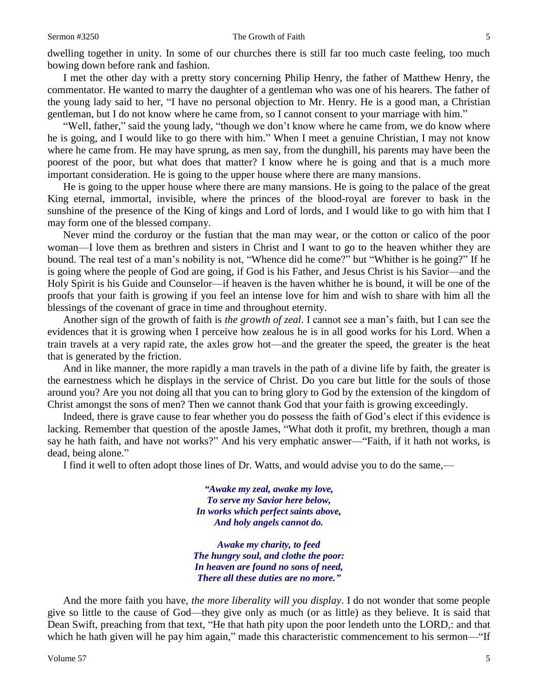dwelling together in unity. In some of our churches there is still far too much caste feeling, too much bowing down before rank and fashion.

I met the other day with a pretty story concerning Philip Henry, the father of Matthew Henry, the commentator. He wanted to marry the daughter of a gentleman who was one of his hearers. The father of the young lady said to her, "I have no personal objection to Mr. Henry. He is a good man, a Christian gentleman, but I do not know where he came from, so I cannot consent to your marriage with him."

"Well, father," said the young lady, "though we don't know where he came from, we do know where he is going, and I would like to go there with him." When I meet a genuine Christian, I may not know where he came from. He may have sprung, as men say, from the dunghill, his parents may have been the poorest of the poor, but what does that matter? I know where he is going and that is a much more important consideration. He is going to the upper house where there are many mansions.

He is going to the upper house where there are many mansions. He is going to the palace of the great King eternal, immortal, invisible, where the princes of the blood-royal are forever to bask in the sunshine of the presence of the King of kings and Lord of lords, and I would like to go with him that I may form one of the blessed company.

Never mind the corduroy or the fustian that the man may wear, or the cotton or calico of the poor woman—I love them as brethren and sisters in Christ and I want to go to the heaven whither they are bound. The real test of a man's nobility is not, "Whence did he come?" but "Whither is he going?" If he is going where the people of God are going, if God is his Father, and Jesus Christ is his Savior—and the Holy Spirit is his Guide and Counselor—if heaven is the haven whither he is bound, it will be one of the proofs that your faith is growing if you feel an intense love for him and wish to share with him all the blessings of the covenant of grace in time and throughout eternity.

Another sign of the growth of faith is *the growth of zeal*. I cannot see a man's faith, but I can see the evidences that it is growing when I perceive how zealous he is in all good works for his Lord. When a train travels at a very rapid rate, the axles grow hot—and the greater the speed, the greater is the heat that is generated by the friction.

And in like manner, the more rapidly a man travels in the path of a divine life by faith, the greater is the earnestness which he displays in the service of Christ. Do you care but little for the souls of those around you? Are you not doing all that you can to bring glory to God by the extension of the kingdom of Christ amongst the sons of men? Then we cannot thank God that your faith is growing exceedingly.

Indeed, there is grave cause to fear whether you do possess the faith of God's elect if this evidence is lacking. Remember that question of the apostle James, "What doth it profit, my brethren, though a man say he hath faith, and have not works?" And his very emphatic answer—"Faith, if it hath not works, is dead, being alone."

I find it well to often adopt those lines of Dr. Watts, and would advise you to do the same,—

*"Awake my zeal, awake my love, To serve my Savior here below, In works which perfect saints above, And holy angels cannot do.*

*Awake my charity, to feed The hungry soul, and clothe the poor: In heaven are found no sons of need, There all these duties are no more."*

And the more faith you have, *the more liberality will you display*. I do not wonder that some people give so little to the cause of God—they give only as much (or as little) as they believe. It is said that Dean Swift, preaching from that text, "He that hath pity upon the poor lendeth unto the LORD,: and that which he hath given will he pay him again," made this characteristic commencement to his sermon—"If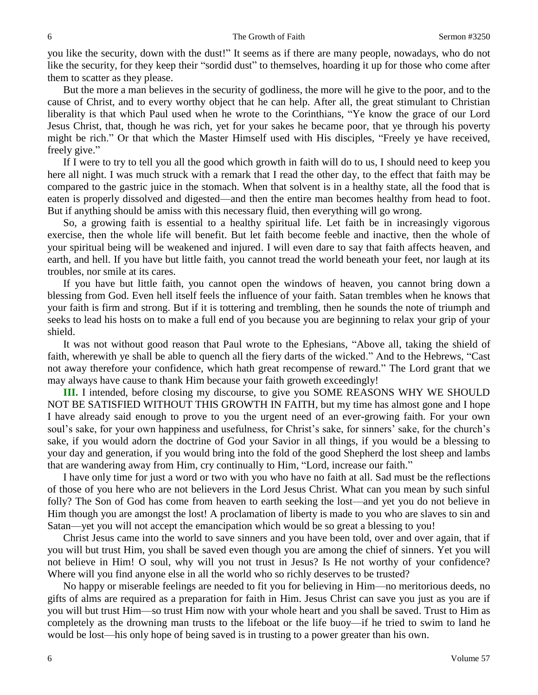you like the security, down with the dust!" It seems as if there are many people, nowadays, who do not like the security, for they keep their "sordid dust" to themselves, hoarding it up for those who come after them to scatter as they please.

But the more a man believes in the security of godliness, the more will he give to the poor, and to the cause of Christ, and to every worthy object that he can help. After all, the great stimulant to Christian liberality is that which Paul used when he wrote to the Corinthians, "Ye know the grace of our Lord Jesus Christ, that, though he was rich, yet for your sakes he became poor, that ye through his poverty might be rich." Or that which the Master Himself used with His disciples, "Freely ye have received, freely give."

If I were to try to tell you all the good which growth in faith will do to us, I should need to keep you here all night. I was much struck with a remark that I read the other day, to the effect that faith may be compared to the gastric juice in the stomach. When that solvent is in a healthy state, all the food that is eaten is properly dissolved and digested—and then the entire man becomes healthy from head to foot. But if anything should be amiss with this necessary fluid, then everything will go wrong.

So, a growing faith is essential to a healthy spiritual life. Let faith be in increasingly vigorous exercise, then the whole life will benefit. But let faith become feeble and inactive, then the whole of your spiritual being will be weakened and injured. I will even dare to say that faith affects heaven, and earth, and hell. If you have but little faith, you cannot tread the world beneath your feet, nor laugh at its troubles, nor smile at its cares.

If you have but little faith, you cannot open the windows of heaven, you cannot bring down a blessing from God. Even hell itself feels the influence of your faith. Satan trembles when he knows that your faith is firm and strong. But if it is tottering and trembling, then he sounds the note of triumph and seeks to lead his hosts on to make a full end of you because you are beginning to relax your grip of your shield.

It was not without good reason that Paul wrote to the Ephesians, "Above all, taking the shield of faith, wherewith ye shall be able to quench all the fiery darts of the wicked." And to the Hebrews, "Cast not away therefore your confidence, which hath great recompense of reward." The Lord grant that we may always have cause to thank Him because your faith groweth exceedingly!

**III.** I intended, before closing my discourse, to give you SOME REASONS WHY WE SHOULD NOT BE SATISFIED WITHOUT THIS GROWTH IN FAITH, but my time has almost gone and I hope I have already said enough to prove to you the urgent need of an ever-growing faith. For your own soul's sake, for your own happiness and usefulness, for Christ's sake, for sinners' sake, for the church's sake, if you would adorn the doctrine of God your Savior in all things, if you would be a blessing to your day and generation, if you would bring into the fold of the good Shepherd the lost sheep and lambs that are wandering away from Him, cry continually to Him, "Lord, increase our faith."

I have only time for just a word or two with you who have no faith at all. Sad must be the reflections of those of you here who are not believers in the Lord Jesus Christ. What can you mean by such sinful folly? The Son of God has come from heaven to earth seeking the lost—and yet you do not believe in Him though you are amongst the lost! A proclamation of liberty is made to you who are slaves to sin and Satan—yet you will not accept the emancipation which would be so great a blessing to you!

Christ Jesus came into the world to save sinners and you have been told, over and over again, that if you will but trust Him, you shall be saved even though you are among the chief of sinners. Yet you will not believe in Him! O soul, why will you not trust in Jesus? Is He not worthy of your confidence? Where will you find anyone else in all the world who so richly deserves to be trusted?

No happy or miserable feelings are needed to fit you for believing in Him—no meritorious deeds, no gifts of alms are required as a preparation for faith in Him. Jesus Christ can save you just as you are if you will but trust Him—so trust Him now with your whole heart and you shall be saved. Trust to Him as completely as the drowning man trusts to the lifeboat or the life buoy—if he tried to swim to land he would be lost—his only hope of being saved is in trusting to a power greater than his own.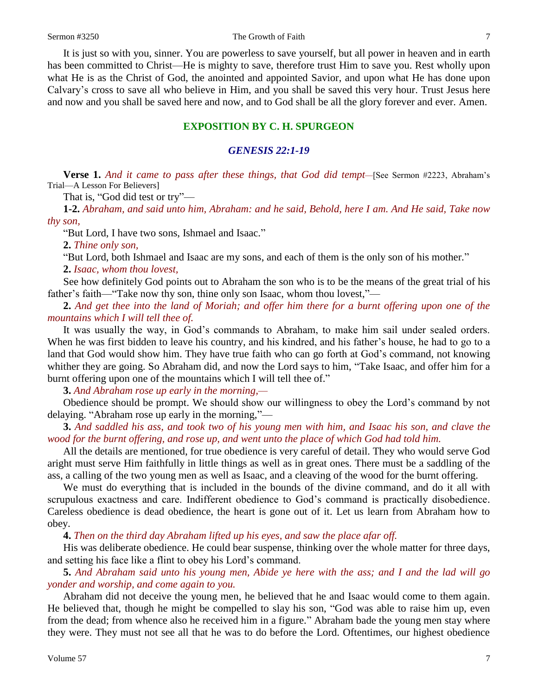#### Sermon #3250 The Growth of Faith 7

It is just so with you, sinner. You are powerless to save yourself, but all power in heaven and in earth has been committed to Christ—He is mighty to save, therefore trust Him to save you. Rest wholly upon what He is as the Christ of God, the anointed and appointed Savior, and upon what He has done upon Calvary's cross to save all who believe in Him, and you shall be saved this very hour. Trust Jesus here and now and you shall be saved here and now, and to God shall be all the glory forever and ever. Amen.

## **EXPOSITION BY C. H. SPURGEON**

### *GENESIS 22:1-19*

**Verse 1.** *And it came to pass after these things, that God did tempt—*[See Sermon #2223, Abraham's Trial—A Lesson For Believers]

That is, "God did test or try"—

**1-2.** *Abraham, and said unto him, Abraham: and he said, Behold, here I am. And He said, Take now thy son,*

"But Lord, I have two sons, Ishmael and Isaac."

**2.** *Thine only son,*

"But Lord, both Ishmael and Isaac are my sons, and each of them is the only son of his mother."

**2.** *Isaac, whom thou lovest,*

See how definitely God points out to Abraham the son who is to be the means of the great trial of his father's faith—"Take now thy son, thine only son Isaac, whom thou lovest,"—

**2.** *And get thee into the land of Moriah; and offer him there for a burnt offering upon one of the mountains which I will tell thee of.* 

It was usually the way, in God's commands to Abraham, to make him sail under sealed orders. When he was first bidden to leave his country, and his kindred, and his father's house, he had to go to a land that God would show him. They have true faith who can go forth at God's command, not knowing whither they are going. So Abraham did, and now the Lord says to him, "Take Isaac, and offer him for a burnt offering upon one of the mountains which I will tell thee of."

**3.** *And Abraham rose up early in the morning,—*

Obedience should be prompt. We should show our willingness to obey the Lord's command by not delaying. "Abraham rose up early in the morning,"—

**3.** *And saddled his ass, and took two of his young men with him, and Isaac his son, and clave the wood for the burnt offering, and rose up, and went unto the place of which God had told him.* 

All the details are mentioned, for true obedience is very careful of detail. They who would serve God aright must serve Him faithfully in little things as well as in great ones. There must be a saddling of the ass, a calling of the two young men as well as Isaac, and a cleaving of the wood for the burnt offering.

We must do everything that is included in the bounds of the divine command, and do it all with scrupulous exactness and care. Indifferent obedience to God's command is practically disobedience. Careless obedience is dead obedience, the heart is gone out of it. Let us learn from Abraham how to obey.

**4.** *Then on the third day Abraham lifted up his eyes, and saw the place afar off.* 

His was deliberate obedience. He could bear suspense, thinking over the whole matter for three days, and setting his face like a flint to obey his Lord's command.

**5.** *And Abraham said unto his young men, Abide ye here with the ass; and I and the lad will go yonder and worship, and come again to you.* 

Abraham did not deceive the young men, he believed that he and Isaac would come to them again. He believed that, though he might be compelled to slay his son, "God was able to raise him up, even from the dead; from whence also he received him in a figure." Abraham bade the young men stay where they were. They must not see all that he was to do before the Lord. Oftentimes, our highest obedience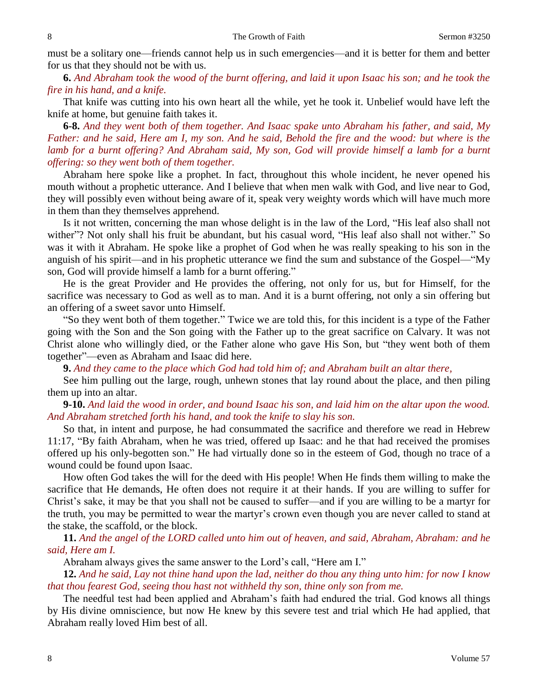must be a solitary one—friends cannot help us in such emergencies—and it is better for them and better for us that they should not be with us.

**6.** *And Abraham took the wood of the burnt offering, and laid it upon Isaac his son; and he took the fire in his hand, and a knife.*

That knife was cutting into his own heart all the while, yet he took it. Unbelief would have left the knife at home, but genuine faith takes it.

**6-8.** *And they went both of them together. And Isaac spake unto Abraham his father, and said, My Father: and he said, Here am I, my son. And he said, Behold the fire and the wood: but where is the lamb for a burnt offering? And Abraham said, My son, God will provide himself a lamb for a burnt offering: so they went both of them together.* 

Abraham here spoke like a prophet. In fact, throughout this whole incident, he never opened his mouth without a prophetic utterance. And I believe that when men walk with God, and live near to God, they will possibly even without being aware of it, speak very weighty words which will have much more in them than they themselves apprehend.

Is it not written, concerning the man whose delight is in the law of the Lord, "His leaf also shall not wither"? Not only shall his fruit be abundant, but his casual word, "His leaf also shall not wither." So was it with it Abraham. He spoke like a prophet of God when he was really speaking to his son in the anguish of his spirit—and in his prophetic utterance we find the sum and substance of the Gospel—"My son, God will provide himself a lamb for a burnt offering."

He is the great Provider and He provides the offering, not only for us, but for Himself, for the sacrifice was necessary to God as well as to man. And it is a burnt offering, not only a sin offering but an offering of a sweet savor unto Himself.

"So they went both of them together." Twice we are told this, for this incident is a type of the Father going with the Son and the Son going with the Father up to the great sacrifice on Calvary. It was not Christ alone who willingly died, or the Father alone who gave His Son, but "they went both of them together"—even as Abraham and Isaac did here.

**9.** *And they came to the place which God had told him of; and Abraham built an altar there,*

See him pulling out the large, rough, unhewn stones that lay round about the place, and then piling them up into an altar.

# **9-10.** *And laid the wood in order, and bound Isaac his son, and laid him on the altar upon the wood. And Abraham stretched forth his hand, and took the knife to slay his son.*

So that, in intent and purpose, he had consummated the sacrifice and therefore we read in Hebrew 11:17, "By faith Abraham, when he was tried, offered up Isaac: and he that had received the promises offered up his only-begotten son." He had virtually done so in the esteem of God, though no trace of a wound could be found upon Isaac.

How often God takes the will for the deed with His people! When He finds them willing to make the sacrifice that He demands, He often does not require it at their hands. If you are willing to suffer for Christ's sake, it may be that you shall not be caused to suffer—and if you are willing to be a martyr for the truth, you may be permitted to wear the martyr's crown even though you are never called to stand at the stake, the scaffold, or the block.

**11.** *And the angel of the LORD called unto him out of heaven, and said, Abraham, Abraham: and he said, Here am I.* 

Abraham always gives the same answer to the Lord's call, "Here am I."

**12.** *And he said, Lay not thine hand upon the lad, neither do thou any thing unto him: for now I know that thou fearest God, seeing thou hast not withheld thy son, thine only son from me.* 

The needful test had been applied and Abraham's faith had endured the trial. God knows all things by His divine omniscience, but now He knew by this severe test and trial which He had applied, that Abraham really loved Him best of all.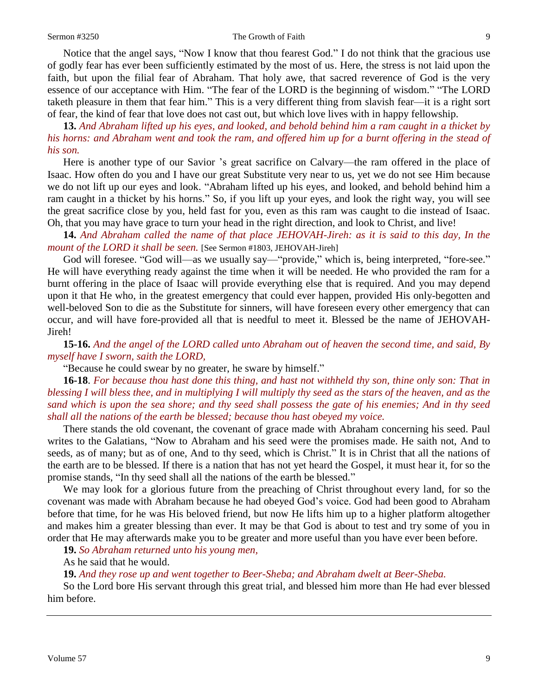Notice that the angel says, "Now I know that thou fearest God." I do not think that the gracious use of godly fear has ever been sufficiently estimated by the most of us. Here, the stress is not laid upon the faith, but upon the filial fear of Abraham. That holy awe, that sacred reverence of God is the very essence of our acceptance with Him. "The fear of the LORD is the beginning of wisdom." "The LORD taketh pleasure in them that fear him." This is a very different thing from slavish fear—it is a right sort of fear, the kind of fear that love does not cast out, but which love lives with in happy fellowship.

**13.** *And Abraham lifted up his eyes, and looked, and behold behind him a ram caught in a thicket by his horns: and Abraham went and took the ram, and offered him up for a burnt offering in the stead of his son.* 

Here is another type of our Savior 's great sacrifice on Calvary—the ram offered in the place of Isaac. How often do you and I have our great Substitute very near to us, yet we do not see Him because we do not lift up our eyes and look. "Abraham lifted up his eyes, and looked, and behold behind him a ram caught in a thicket by his horns." So, if you lift up your eyes, and look the right way, you will see the great sacrifice close by you, held fast for you, even as this ram was caught to die instead of Isaac. Oh, that you may have grace to turn your head in the right direction, and look to Christ, and live!

**14.** *And Abraham called the name of that place JEHOVAH-Jireh: as it is said to this day, In the mount of the LORD it shall be seen.* [See Sermon #1803, JEHOVAH-Jireh]

God will foresee. "God will—as we usually say—"provide," which is, being interpreted, "fore-see." He will have everything ready against the time when it will be needed. He who provided the ram for a burnt offering in the place of Isaac will provide everything else that is required. And you may depend upon it that He who, in the greatest emergency that could ever happen, provided His only-begotten and well-beloved Son to die as the Substitute for sinners, will have foreseen every other emergency that can occur, and will have fore-provided all that is needful to meet it. Blessed be the name of JEHOVAH-Jireh!

**15-16.** *And the angel of the LORD called unto Abraham out of heaven the second time, and said, By myself have I sworn, saith the LORD,*

"Because he could swear by no greater, he sware by himself."

**16-18**. *For because thou hast done this thing, and hast not withheld thy son, thine only son: That in blessing I will bless thee, and in multiplying I will multiply thy seed as the stars of the heaven, and as the sand which is upon the sea shore; and thy seed shall possess the gate of his enemies; And in thy seed shall all the nations of the earth be blessed; because thou hast obeyed my voice.*

There stands the old covenant, the covenant of grace made with Abraham concerning his seed. Paul writes to the Galatians, "Now to Abraham and his seed were the promises made. He saith not, And to seeds, as of many; but as of one, And to thy seed, which is Christ." It is in Christ that all the nations of the earth are to be blessed. If there is a nation that has not yet heard the Gospel, it must hear it, for so the promise stands, "In thy seed shall all the nations of the earth be blessed."

We may look for a glorious future from the preaching of Christ throughout every land, for so the covenant was made with Abraham because he had obeyed God's voice. God had been good to Abraham before that time, for he was His beloved friend, but now He lifts him up to a higher platform altogether and makes him a greater blessing than ever. It may be that God is about to test and try some of you in order that He may afterwards make you to be greater and more useful than you have ever been before.

**19.** *So Abraham returned unto his young men,*

As he said that he would.

**19.** *And they rose up and went together to Beer-Sheba; and Abraham dwelt at Beer-Sheba.* 

So the Lord bore His servant through this great trial, and blessed him more than He had ever blessed him before.